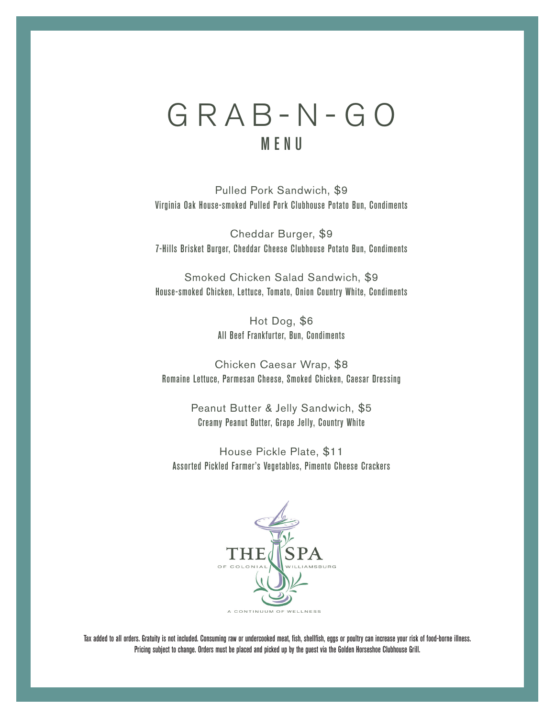# GRAB-N-GO MENU

Pulled Pork Sandwich, \$9 Virginia Oak House-smoked Pulled Pork Clubhouse Potato Bun, Condiments

Cheddar Burger, \$9 7-Hills Brisket Burger, Cheddar Cheese Clubhouse Potato Bun, Condiments

Smoked Chicken Salad Sandwich, \$9 House-smoked Chicken, Lettuce, Tomato, Onion Country White, Condiments

> Hot Dog, \$6 All Beef Frankfurter, Bun, Condiments

Chicken Caesar Wrap, \$8 Romaine Lettuce, Parmesan Cheese, Smoked Chicken, Caesar Dressing

> Peanut Butter & Jelly Sandwich, \$5 Creamy Peanut Butter, Grape Jelly, Country White

House Pickle Plate, \$11 Assorted Pickled Farmer's Vegetables, Pimento Cheese Crackers



Tax added to all orders. Gratuity is not included. Consuming raw or undercooked meat, fish, shellfish, eggs or poultry can increase your risk of food-borne illness. Pricing subject to change. Orders must be placed and picked up by the guest via the Golden Horseshoe Clubhouse Grill.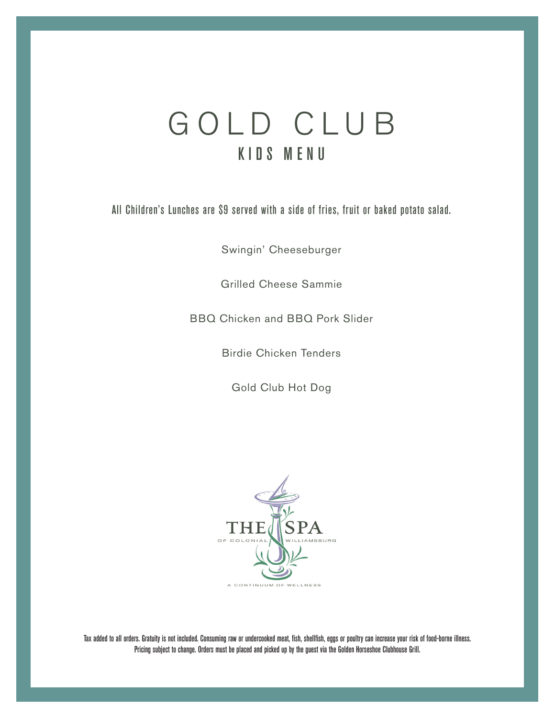# GOLD CLUB KIDS MENU

All Children's Lunches are \$9 served with a side of fries, fruit or baked potato salad.

Swingin' Cheeseburger

Grilled Cheese Sammie

BBQ Chicken and BBQ Pork Slider

Birdie Chicken Tenders

Gold Club Hot Dog



Tax added to all orders. Gratuity is not included. Consuming raw or undercooked meat, fish, shellfish, eggs or poultry can increase your risk of food-borne illness. Pricing subject to change. Orders must be placed and picked up by the guest via the Golden Horseshoe Clubhouse Grill.